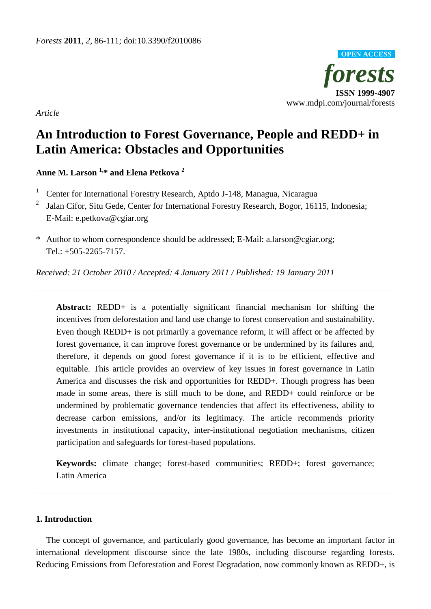

*Article*

# **An Introduction to Forest Governance, People and REDD+ in Latin America: Obstacles and Opportunities**

**Anne M. Larson 1,\* and Elena Petkova <sup>2</sup>**

<sup>1</sup> Center for International Forestry Research, Aptdo J-148, Managua, Nicaragua

2 Jalan Cifor, Situ Gede, Center for International Forestry Research, Bogor, 16115, Indonesia; E-Mail: e.petkova@cgiar.org

\* Author to whom correspondence should be addressed; E-Mail: a.larson@cgiar.org; Tel.: +505-2265-7157.

*Received: 21 October 2010 / Accepted: 4 January 2011 / Published: 19 January 2011*

**Abstract:** REDD+ is a potentially significant financial mechanism for shifting the incentives from deforestation and land use change to forest conservation and sustainability. Even though REDD+ is not primarily a governance reform, it will affect or be affected by forest governance, it can improve forest governance or be undermined by its failures and, therefore, it depends on good forest governance if it is to be efficient, effective and equitable. This article provides an overview of key issues in forest governance in Latin America and discusses the risk and opportunities for REDD+. Though progress has been made in some areas, there is still much to be done, and REDD+ could reinforce or be undermined by problematic governance tendencies that affect its effectiveness, ability to decrease carbon emissions, and/or its legitimacy. The article recommends priority investments in institutional capacity, inter-institutional negotiation mechanisms, citizen participation and safeguards for forest-based populations.

**Keywords:** climate change; forest-based communities; REDD+; forest governance; Latin America

# **1. Introduction**

The concept of governance, and particularly good governance, has become an important factor in international development discourse since the late 1980s, including discourse regarding forests. Reducing Emissions from Deforestation and Forest Degradation, now commonly known as REDD+, is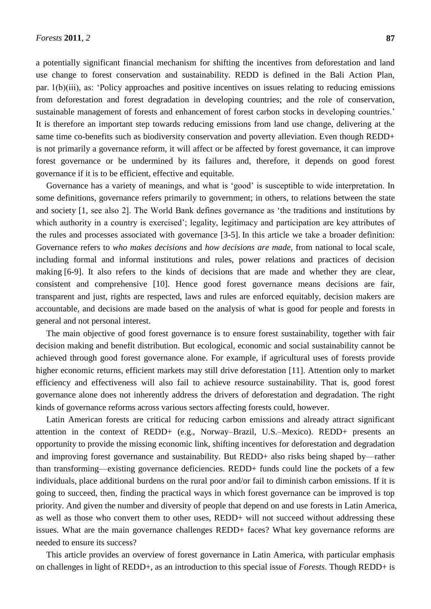a potentially significant financial mechanism for shifting the incentives from deforestation and land use change to forest conservation and sustainability. REDD is defined in the Bali Action Plan, par. 1(b)(iii), as: 'Policy approaches and positive incentives on issues relating to reducing emissions from deforestation and forest degradation in developing countries; and the role of conservation, sustainable management of forests and enhancement of forest carbon stocks in developing countries.' It is therefore an important step towards reducing emissions from land use change, delivering at the same time co-benefits such as biodiversity conservation and poverty alleviation. Even though REDD+ is not primarily a governance reform, it will affect or be affected by forest governance, it can improve forest governance or be undermined by its failures and, therefore, it depends on good forest governance if it is to be efficient, effective and equitable.

Governance has a variety of meanings, and what is 'good' is susceptible to wide interpretation. In some definitions, governance refers primarily to government; in others, to relations between the state and society [1, see also 2]. The World Bank defines governance as 'the traditions and institutions by which authority in a country is exercised'; legality, legitimacy and participation are key attributes of the rules and processes associated with governance [3-5]. In this article we take a broader definition: Governance refers to *who makes decisions* and *how decisions are made*, from national to local scale, including formal and informal institutions and rules, power relations and practices of decision making [6-9]. It also refers to the kinds of decisions that are made and whether they are clear, consistent and comprehensive [10]. Hence good forest governance means decisions are fair, transparent and just, rights are respected, laws and rules are enforced equitably, decision makers are accountable, and decisions are made based on the analysis of what is good for people and forests in general and not personal interest.

The main objective of good forest governance is to ensure forest sustainability, together with fair decision making and benefit distribution. But ecological, economic and social sustainability cannot be achieved through good forest governance alone. For example, if agricultural uses of forests provide higher economic returns, efficient markets may still drive deforestation [11]. Attention only to market efficiency and effectiveness will also fail to achieve resource sustainability. That is, good forest governance alone does not inherently address the drivers of deforestation and degradation. The right kinds of governance reforms across various sectors affecting forests could, however.

Latin American forests are critical for reducing carbon emissions and already attract significant attention in the context of REDD+ (e.g., Norway–Brazil, U.S.–Mexico). REDD+ presents an opportunity to provide the missing economic link, shifting incentives for deforestation and degradation and improving forest governance and sustainability. But REDD+ also risks being shaped by—rather than transforming—existing governance deficiencies. REDD+ funds could line the pockets of a few individuals, place additional burdens on the rural poor and/or fail to diminish carbon emissions. If it is going to succeed, then, finding the practical ways in which forest governance can be improved is top priority. And given the number and diversity of people that depend on and use forests in Latin America, as well as those who convert them to other uses, REDD+ will not succeed without addressing these issues. What are the main governance challenges REDD+ faces? What key governance reforms are needed to ensure its success?

This article provides an overview of forest governance in Latin America, with particular emphasis on challenges in light of REDD+, as an introduction to this special issue of *Forests*. Though REDD+ is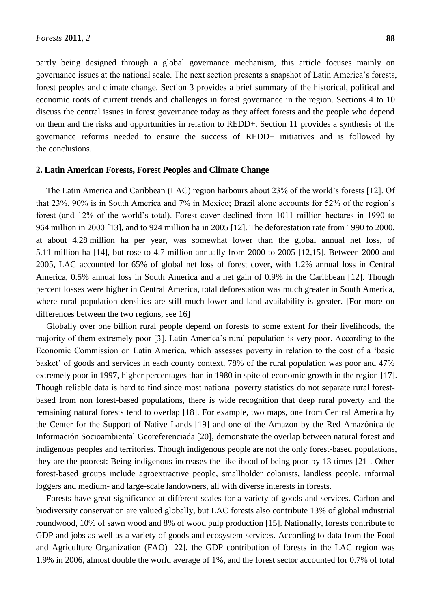partly being designed through a global governance mechanism, this article focuses mainly on governance issues at the national scale. The next section presents a snapshot of Latin America's forests, forest peoples and climate change. Section 3 provides a brief summary of the historical, political and economic roots of current trends and challenges in forest governance in the region. Sections 4 to 10 discuss the central issues in forest governance today as they affect forests and the people who depend on them and the risks and opportunities in relation to REDD+. Section 11 provides a synthesis of the governance reforms needed to ensure the success of REDD+ initiatives and is followed by the conclusions.

## **2. Latin American Forests, Forest Peoples and Climate Change**

The Latin America and Caribbean (LAC) region harbours about 23% of the world's forests [12]. Of that 23%, 90% is in South America and 7% in Mexico; Brazil alone accounts for 52% of the region's forest (and 12% of the world's total). Forest cover declined from 1011 million hectares in 1990 to 964 million in 2000 [13], and to 924 million ha in 2005 [12]. The deforestation rate from 1990 to 2000, at about 4.28 million ha per year, was somewhat lower than the global annual net loss, of 5.11 million ha [14], but rose to 4.7 million annually from 2000 to 2005 [12,15]. Between 2000 and 2005, LAC accounted for 65% of global net loss of forest cover, with 1.2% annual loss in Central America, 0.5% annual loss in South America and a net gain of 0.9% in the Caribbean [12]. Though percent losses were higher in Central America, total deforestation was much greater in South America, where rural population densities are still much lower and land availability is greater. [For more on differences between the two regions, see 16]

Globally over one billion rural people depend on forests to some extent for their livelihoods, the majority of them extremely poor [3]. Latin America's rural population is very poor. According to the Economic Commission on Latin America, which assesses poverty in relation to the cost of a 'basic basket' of goods and services in each county context, 78% of the rural population was poor and 47% extremely poor in 1997, higher percentages than in 1980 in spite of economic growth in the region [17]. Though reliable data is hard to find since most national poverty statistics do not separate rural forestbased from non forest-based populations, there is wide recognition that deep rural poverty and the remaining natural forests tend to overlap [18]. For example, two maps, one from Central America by the Center for the Support of Native Lands [19] and one of the Amazon by the Red Amazónica de Información Socioambiental Georeferenciada [20], demonstrate the overlap between natural forest and indigenous peoples and territories. Though indigenous people are not the only forest-based populations, they are the poorest: Being indigenous increases the likelihood of being poor by 13 times [21]. Other forest-based groups include agroextractive people, smallholder colonists, landless people, informal loggers and medium- and large-scale landowners, all with diverse interests in forests.

Forests have great significance at different scales for a variety of goods and services. Carbon and biodiversity conservation are valued globally, but LAC forests also contribute 13% of global industrial roundwood, 10% of sawn wood and 8% of wood pulp production [15]. Nationally, forests contribute to GDP and jobs as well as a variety of goods and ecosystem services. According to data from the Food and Agriculture Organization (FAO) [22], the GDP contribution of forests in the LAC region was 1.9% in 2006, almost double the world average of 1%, and the forest sector accounted for 0.7% of total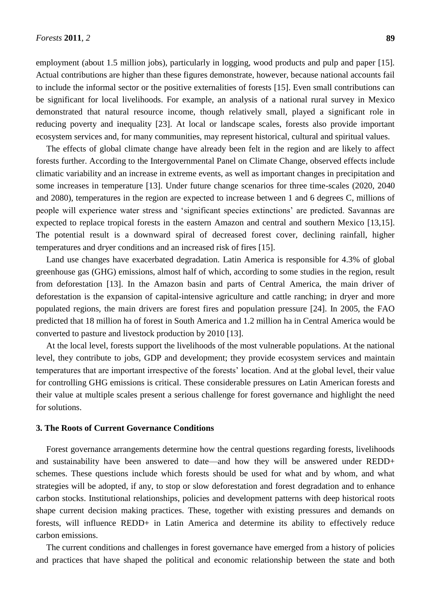employment (about 1.5 million jobs), particularly in logging, wood products and pulp and paper [15]. Actual contributions are higher than these figures demonstrate, however, because national accounts fail to include the informal sector or the positive externalities of forests [15]. Even small contributions can be significant for local livelihoods. For example, an analysis of a national rural survey in Mexico demonstrated that natural resource income, though relatively small, played a significant role in reducing poverty and inequality [23]. At local or landscape scales, forests also provide important ecosystem services and, for many communities, may represent historical, cultural and spiritual values.

The effects of global climate change have already been felt in the region and are likely to affect forests further. According to the Intergovernmental Panel on Climate Change, observed effects include climatic variability and an increase in extreme events, as well as important changes in precipitation and some increases in temperature [13]. Under future change scenarios for three time-scales (2020, 2040 and 2080), temperatures in the region are expected to increase between 1 and 6 degrees C, millions of people will experience water stress and 'significant species extinctions' are predicted. Savannas are expected to replace tropical forests in the eastern Amazon and central and southern Mexico [13,15]. The potential result is a downward spiral of decreased forest cover, declining rainfall, higher temperatures and dryer conditions and an increased risk of fires [15].

Land use changes have exacerbated degradation. Latin America is responsible for 4.3% of global greenhouse gas (GHG) emissions, almost half of which, according to some studies in the region, result from deforestation [13]. In the Amazon basin and parts of Central America, the main driver of deforestation is the expansion of capital-intensive agriculture and cattle ranching; in dryer and more populated regions, the main drivers are forest fires and population pressure [24]. In 2005, the FAO predicted that 18 million ha of forest in South America and 1.2 million ha in Central America would be converted to pasture and livestock production by 2010 [13].

At the local level, forests support the livelihoods of the most vulnerable populations. At the national level, they contribute to jobs, GDP and development; they provide ecosystem services and maintain temperatures that are important irrespective of the forests' location. And at the global level, their value for controlling GHG emissions is critical. These considerable pressures on Latin American forests and their value at multiple scales present a serious challenge for forest governance and highlight the need for solutions.

#### **3. The Roots of Current Governance Conditions**

Forest governance arrangements determine how the central questions regarding forests, livelihoods and sustainability have been answered to date—and how they will be answered under REDD+ schemes. These questions include which forests should be used for what and by whom, and what strategies will be adopted, if any, to stop or slow deforestation and forest degradation and to enhance carbon stocks. Institutional relationships, policies and development patterns with deep historical roots shape current decision making practices. These, together with existing pressures and demands on forests, will influence REDD+ in Latin America and determine its ability to effectively reduce carbon emissions.

The current conditions and challenges in forest governance have emerged from a history of policies and practices that have shaped the political and economic relationship between the state and both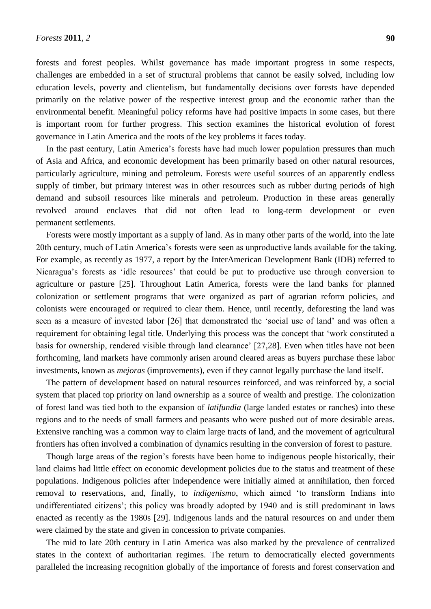forests and forest peoples. Whilst governance has made important progress in some respects, challenges are embedded in a set of structural problems that cannot be easily solved, including low education levels, poverty and clientelism, but fundamentally decisions over forests have depended primarily on the relative power of the respective interest group and the economic rather than the environmental benefit. Meaningful policy reforms have had positive impacts in some cases, but there is important room for further progress. This section examines the historical evolution of forest governance in Latin America and the roots of the key problems it faces today.

In the past century, Latin America's forests have had much lower population pressures than much of Asia and Africa, and economic development has been primarily based on other natural resources, particularly agriculture, mining and petroleum. Forests were useful sources of an apparently endless supply of timber, but primary interest was in other resources such as rubber during periods of high demand and subsoil resources like minerals and petroleum. Production in these areas generally revolved around enclaves that did not often lead to long-term development or even permanent settlements.

Forests were mostly important as a supply of land. As in many other parts of the world, into the late 20th century, much of Latin America's forests were seen as unproductive lands available for the taking. For example, as recently as 1977, a report by the InterAmerican Development Bank (IDB) referred to Nicaragua's forests as 'idle resources' that could be put to productive use through conversion to agriculture or pasture [25]. Throughout Latin America, forests were the land banks for planned colonization or settlement programs that were organized as part of agrarian reform policies, and colonists were encouraged or required to clear them. Hence, until recently, deforesting the land was seen as a measure of invested labor [26] that demonstrated the 'social use of land' and was often a requirement for obtaining legal title. Underlying this process was the concept that 'work constituted a basis for ownership, rendered visible through land clearance' [27,28]. Even when titles have not been forthcoming, land markets have commonly arisen around cleared areas as buyers purchase these labor investments, known as *mejoras* (improvements), even if they cannot legally purchase the land itself.

The pattern of development based on natural resources reinforced, and was reinforced by, a social system that placed top priority on land ownership as a source of wealth and prestige. The colonization of forest land was tied both to the expansion of *latifundia* (large landed estates or ranches) into these regions and to the needs of small farmers and peasants who were pushed out of more desirable areas. Extensive ranching was a common way to claim large tracts of land, and the movement of agricultural frontiers has often involved a combination of dynamics resulting in the conversion of forest to pasture.

Though large areas of the region's forests have been home to indigenous people historically, their land claims had little effect on economic development policies due to the status and treatment of these populations. Indigenous policies after independence were initially aimed at annihilation, then forced removal to reservations, and, finally, to *indigenismo*, which aimed 'to transform Indians into undifferentiated citizens'; this policy was broadly adopted by 1940 and is still predominant in laws enacted as recently as the 1980s [29]. Indigenous lands and the natural resources on and under them were claimed by the state and given in concession to private companies.

The mid to late 20th century in Latin America was also marked by the prevalence of centralized states in the context of authoritarian regimes. The return to democratically elected governments paralleled the increasing recognition globally of the importance of forests and forest conservation and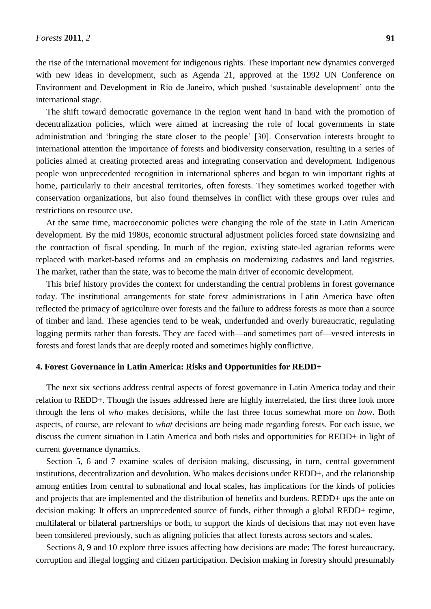the rise of the international movement for indigenous rights. These important new dynamics converged with new ideas in development, such as Agenda 21, approved at the 1992 UN Conference on Environment and Development in Rio de Janeiro, which pushed 'sustainable development' onto the international stage.

The shift toward democratic governance in the region went hand in hand with the promotion of decentralization policies, which were aimed at increasing the role of local governments in state administration and 'bringing the state closer to the people' [30]. Conservation interests brought to international attention the importance of forests and biodiversity conservation, resulting in a series of policies aimed at creating protected areas and integrating conservation and development. Indigenous people won unprecedented recognition in international spheres and began to win important rights at home, particularly to their ancestral territories, often forests. They sometimes worked together with conservation organizations, but also found themselves in conflict with these groups over rules and restrictions on resource use.

At the same time, macroeconomic policies were changing the role of the state in Latin American development. By the mid 1980s, economic structural adjustment policies forced state downsizing and the contraction of fiscal spending. In much of the region, existing state-led agrarian reforms were replaced with market-based reforms and an emphasis on modernizing cadastres and land registries. The market, rather than the state, was to become the main driver of economic development.

This brief history provides the context for understanding the central problems in forest governance today. The institutional arrangements for state forest administrations in Latin America have often reflected the primacy of agriculture over forests and the failure to address forests as more than a source of timber and land. These agencies tend to be weak, underfunded and overly bureaucratic, regulating logging permits rather than forests. They are faced with—and sometimes part of—vested interests in forests and forest lands that are deeply rooted and sometimes highly conflictive.

#### **4. Forest Governance in Latin America: Risks and Opportunities for REDD+**

The next six sections address central aspects of forest governance in Latin America today and their relation to REDD+. Though the issues addressed here are highly interrelated, the first three look more through the lens of *who* makes decisions, while the last three focus somewhat more on *how*. Both aspects, of course, are relevant to *what* decisions are being made regarding forests. For each issue, we discuss the current situation in Latin America and both risks and opportunities for REDD+ in light of current governance dynamics.

Section 5, 6 and 7 examine scales of decision making, discussing, in turn, central government institutions, decentralization and devolution. Who makes decisions under REDD+, and the relationship among entities from central to subnational and local scales, has implications for the kinds of policies and projects that are implemented and the distribution of benefits and burdens. REDD+ ups the ante on decision making: It offers an unprecedented source of funds, either through a global REDD+ regime, multilateral or bilateral partnerships or both, to support the kinds of decisions that may not even have been considered previously, such as aligning policies that affect forests across sectors and scales.

Sections 8, 9 and 10 explore three issues affecting how decisions are made: The forest bureaucracy, corruption and illegal logging and citizen participation. Decision making in forestry should presumably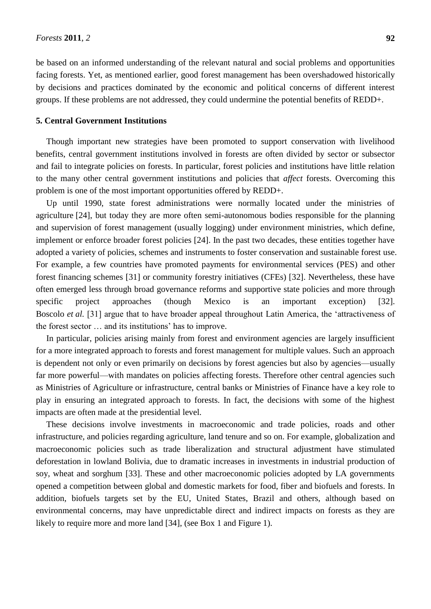be based on an informed understanding of the relevant natural and social problems and opportunities facing forests. Yet, as mentioned earlier, good forest management has been overshadowed historically by decisions and practices dominated by the economic and political concerns of different interest groups. If these problems are not addressed, they could undermine the potential benefits of REDD+.

### **5. Central Government Institutions**

Though important new strategies have been promoted to support conservation with livelihood benefits, central government institutions involved in forests are often divided by sector or subsector and fail to integrate policies on forests. In particular, forest policies and institutions have little relation to the many other central government institutions and policies that *affect* forests. Overcoming this problem is one of the most important opportunities offered by REDD+.

Up until 1990, state forest administrations were normally located under the ministries of agriculture [24], but today they are more often semi-autonomous bodies responsible for the planning and supervision of forest management (usually logging) under environment ministries, which define, implement or enforce broader forest policies [24]. In the past two decades, these entities together have adopted a variety of policies, schemes and instruments to foster conservation and sustainable forest use. For example, a few countries have promoted payments for environmental services (PES) and other forest financing schemes [31] or community forestry initiatives (CFEs) [32]. Nevertheless, these have often emerged less through broad governance reforms and supportive state policies and more through specific project approaches (though Mexico is an important exception) [32]. Boscolo *et al.* [31] argue that to have broader appeal throughout Latin America, the 'attractiveness of the forest sector … and its institutions' has to improve.

In particular, policies arising mainly from forest and environment agencies are largely insufficient for a more integrated approach to forests and forest management for multiple values. Such an approach is dependent not only or even primarily on decisions by forest agencies but also by agencies—usually far more powerful—with mandates on policies affecting forests. Therefore other central agencies such as Ministries of Agriculture or infrastructure, central banks or Ministries of Finance have a key role to play in ensuring an integrated approach to forests. In fact, the decisions with some of the highest impacts are often made at the presidential level.

These decisions involve investments in macroeconomic and trade policies, roads and other infrastructure, and policies regarding agriculture, land tenure and so on. For example, globalization and macroeconomic policies such as trade liberalization and structural adjustment have stimulated deforestation in lowland Bolivia, due to dramatic increases in investments in industrial production of soy, wheat and sorghum [33]. These and other macroeconomic policies adopted by LA governments opened a competition between global and domestic markets for food, fiber and biofuels and forests. In addition, biofuels targets set by the EU, United States, Brazil and others, although based on environmental concerns, may have unpredictable direct and indirect impacts on forests as they are likely to require more and more land [34], (see Box 1 and Figure 1).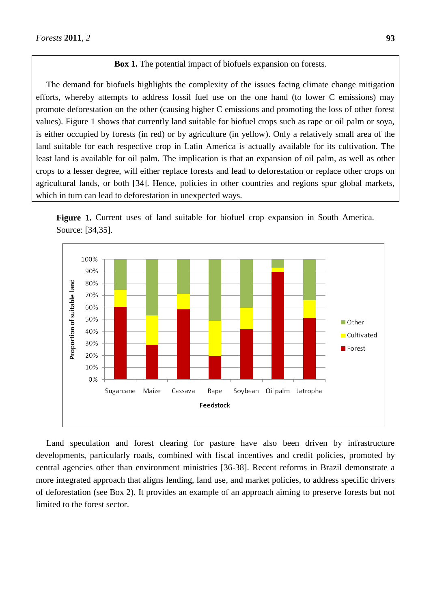#### **Box 1.** The potential impact of biofuels expansion on forests.

The demand for biofuels highlights the complexity of the issues facing climate change mitigation efforts, whereby attempts to address fossil fuel use on the one hand (to lower C emissions) may promote deforestation on the other (causing higher C emissions and promoting the loss of other forest values). Figure 1 shows that currently land suitable for biofuel crops such as rape or oil palm or soya, is either occupied by forests (in red) or by agriculture (in yellow). Only a relatively small area of the land suitable for each respective crop in Latin America is actually available for its cultivation. The least land is available for oil palm. The implication is that an expansion of oil palm, as well as other crops to a lesser degree, will either replace forests and lead to deforestation or replace other crops on agricultural lands, or both [34]. Hence, policies in other countries and regions spur global markets, which in turn can lead to deforestation in unexpected ways.

**Figure 1.** Current uses of land suitable for biofuel crop expansion in South America. Source: [34,35].



Land speculation and forest clearing for pasture have also been driven by infrastructure developments, particularly roads, combined with fiscal incentives and credit policies, promoted by central agencies other than environment ministries [36-38]. Recent reforms in Brazil demonstrate a more integrated approach that aligns lending, land use, and market policies, to address specific drivers of deforestation (see Box 2). It provides an example of an approach aiming to preserve forests but not limited to the forest sector.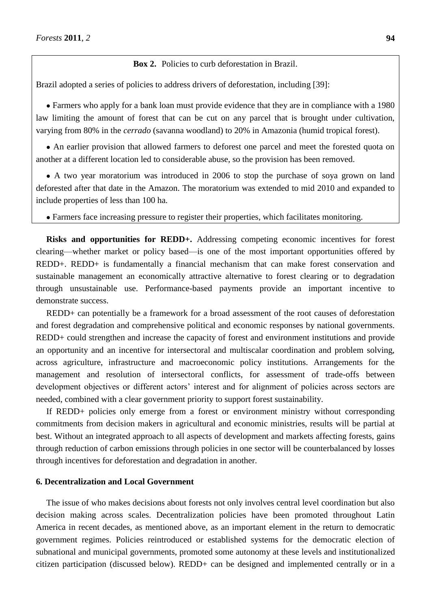**Box 2.** Policies to curb deforestation in Brazil.

Brazil adopted a series of policies to address drivers of deforestation, including [39]:

 Farmers who apply for a bank loan must provide evidence that they are in compliance with a 1980 law limiting the amount of forest that can be cut on any parcel that is brought under cultivation, varying from 80% in the *cerrado* (savanna woodland) to 20% in Amazonia (humid tropical forest).

 An earlier provision that allowed farmers to deforest one parcel and meet the forested quota on another at a different location led to considerable abuse, so the provision has been removed.

 A two year moratorium was introduced in 2006 to stop the purchase of soya grown on land deforested after that date in the Amazon. The moratorium was extended to mid 2010 and expanded to include properties of less than 100 ha.

Farmers face increasing pressure to register their properties, which facilitates monitoring.

**Risks and opportunities for REDD+.** Addressing competing economic incentives for forest clearing—whether market or policy based—is one of the most important opportunities offered by REDD+. REDD+ is fundamentally a financial mechanism that can make forest conservation and sustainable management an economically attractive alternative to forest clearing or to degradation through unsustainable use. Performance-based payments provide an important incentive to demonstrate success.

REDD+ can potentially be a framework for a broad assessment of the root causes of deforestation and forest degradation and comprehensive political and economic responses by national governments. REDD+ could strengthen and increase the capacity of forest and environment institutions and provide an opportunity and an incentive for intersectoral and multiscalar coordination and problem solving, across agriculture, infrastructure and macroeconomic policy institutions. Arrangements for the management and resolution of intersectoral conflicts, for assessment of trade-offs between development objectives or different actors' interest and for alignment of policies across sectors are needed, combined with a clear government priority to support forest sustainability.

If REDD+ policies only emerge from a forest or environment ministry without corresponding commitments from decision makers in agricultural and economic ministries, results will be partial at best. Without an integrated approach to all aspects of development and markets affecting forests, gains through reduction of carbon emissions through policies in one sector will be counterbalanced by losses through incentives for deforestation and degradation in another.

## **6. Decentralization and Local Government**

The issue of who makes decisions about forests not only involves central level coordination but also decision making across scales. Decentralization policies have been promoted throughout Latin America in recent decades, as mentioned above, as an important element in the return to democratic government regimes. Policies reintroduced or established systems for the democratic election of subnational and municipal governments, promoted some autonomy at these levels and institutionalized citizen participation (discussed below). REDD+ can be designed and implemented centrally or in a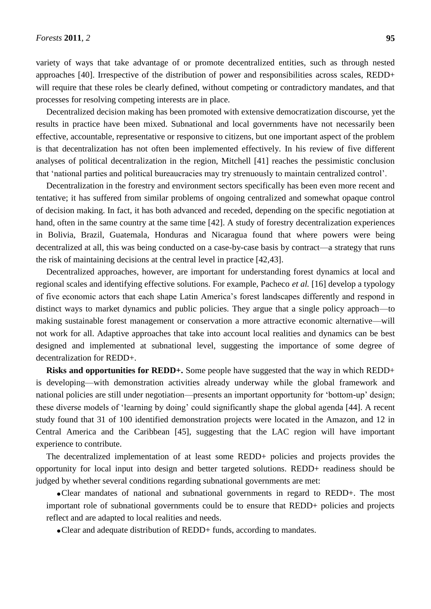variety of ways that take advantage of or promote decentralized entities, such as through nested approaches [40]. Irrespective of the distribution of power and responsibilities across scales, REDD+ will require that these roles be clearly defined, without competing or contradictory mandates, and that processes for resolving competing interests are in place.

Decentralized decision making has been promoted with extensive democratization discourse, yet the results in practice have been mixed. Subnational and local governments have not necessarily been effective, accountable, representative or responsive to citizens, but one important aspect of the problem is that decentralization has not often been implemented effectively. In his review of five different analyses of political decentralization in the region, Mitchell [41] reaches the pessimistic conclusion that 'national parties and political bureaucracies may try strenuously to maintain centralized control'.

Decentralization in the forestry and environment sectors specifically has been even more recent and tentative; it has suffered from similar problems of ongoing centralized and somewhat opaque control of decision making. In fact, it has both advanced and receded, depending on the specific negotiation at hand, often in the same country at the same time [42]. A study of forestry decentralization experiences in Bolivia, Brazil, Guatemala, Honduras and Nicaragua found that where powers were being decentralized at all, this was being conducted on a case-by-case basis by contract—a strategy that runs the risk of maintaining decisions at the central level in practice [42,43].

Decentralized approaches, however, are important for understanding forest dynamics at local and regional scales and identifying effective solutions. For example, Pacheco *et al.* [16] develop a typology of five economic actors that each shape Latin America's forest landscapes differently and respond in distinct ways to market dynamics and public policies. They argue that a single policy approach—to making sustainable forest management or conservation a more attractive economic alternative—will not work for all. Adaptive approaches that take into account local realities and dynamics can be best designed and implemented at subnational level, suggesting the importance of some degree of decentralization for REDD+.

**Risks and opportunities for REDD+.** Some people have suggested that the way in which REDD+ is developing—with demonstration activities already underway while the global framework and national policies are still under negotiation—presents an important opportunity for 'bottom-up' design; these diverse models of 'learning by doing' could significantly shape the global agenda [44]. A recent study found that 31 of 100 identified demonstration projects were located in the Amazon, and 12 in Central America and the Caribbean [45], suggesting that the LAC region will have important experience to contribute.

The decentralized implementation of at least some REDD+ policies and projects provides the opportunity for local input into design and better targeted solutions. REDD+ readiness should be judged by whether several conditions regarding subnational governments are met:

Clear mandates of national and subnational governments in regard to REDD+. The most important role of subnational governments could be to ensure that REDD+ policies and projects reflect and are adapted to local realities and needs.

Clear and adequate distribution of REDD+ funds, according to mandates.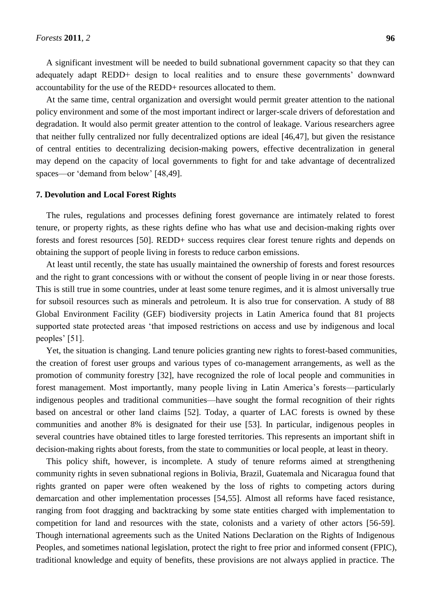A significant investment will be needed to build subnational government capacity so that they can adequately adapt REDD+ design to local realities and to ensure these governments' downward accountability for the use of the REDD+ resources allocated to them.

At the same time, central organization and oversight would permit greater attention to the national policy environment and some of the most important indirect or larger-scale drivers of deforestation and degradation. It would also permit greater attention to the control of leakage. Various researchers agree that neither fully centralized nor fully decentralized options are ideal [46,47], but given the resistance of central entities to decentralizing decision-making powers, effective decentralization in general may depend on the capacity of local governments to fight for and take advantage of decentralized spaces—or 'demand from below' [48,49].

### **7. Devolution and Local Forest Rights**

The rules, regulations and processes defining forest governance are intimately related to forest tenure, or property rights, as these rights define who has what use and decision-making rights over forests and forest resources [50]. REDD+ success requires clear forest tenure rights and depends on obtaining the support of people living in forests to reduce carbon emissions.

At least until recently, the state has usually maintained the ownership of forests and forest resources and the right to grant concessions with or without the consent of people living in or near those forests. This is still true in some countries, under at least some tenure regimes, and it is almost universally true for subsoil resources such as minerals and petroleum. It is also true for conservation. A study of 88 Global Environment Facility (GEF) biodiversity projects in Latin America found that 81 projects supported state protected areas 'that imposed restrictions on access and use by indigenous and local peoples' [51].

Yet, the situation is changing. Land tenure policies granting new rights to forest-based communities, the creation of forest user groups and various types of co-management arrangements, as well as the promotion of community forestry [32], have recognized the role of local people and communities in forest management. Most importantly, many people living in Latin America's forests—particularly indigenous peoples and traditional communities—have sought the formal recognition of their rights based on ancestral or other land claims [52]. Today, a quarter of LAC forests is owned by these communities and another 8% is designated for their use [53]. In particular, indigenous peoples in several countries have obtained titles to large forested territories. This represents an important shift in decision-making rights about forests, from the state to communities or local people, at least in theory.

This policy shift, however, is incomplete. A study of tenure reforms aimed at strengthening community rights in seven subnational regions in Bolivia, Brazil, Guatemala and Nicaragua found that rights granted on paper were often weakened by the loss of rights to competing actors during demarcation and other implementation processes [54,55]. Almost all reforms have faced resistance, ranging from foot dragging and backtracking by some state entities charged with implementation to competition for land and resources with the state, colonists and a variety of other actors [56-59]. Though international agreements such as the United Nations Declaration on the Rights of Indigenous Peoples, and sometimes national legislation, protect the right to free prior and informed consent (FPIC), traditional knowledge and equity of benefits, these provisions are not always applied in practice. The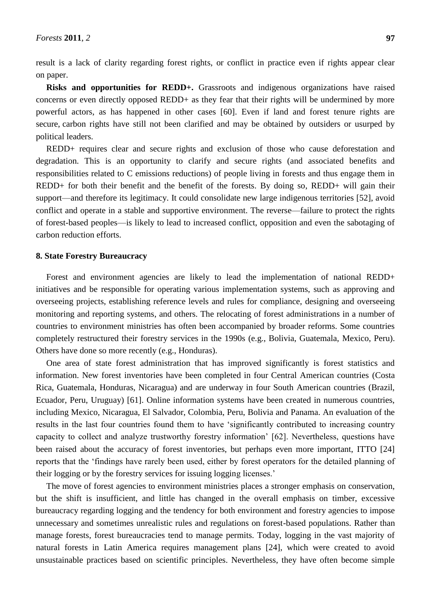result is a lack of clarity regarding forest rights, or conflict in practice even if rights appear clear on paper.

**Risks and opportunities for REDD+.** Grassroots and indigenous organizations have raised concerns or even directly opposed REDD+ as they fear that their rights will be undermined by more powerful actors, as has happened in other cases [60]. Even if land and forest tenure rights are secure, carbon rights have still not been clarified and may be obtained by outsiders or usurped by political leaders.

REDD+ requires clear and secure rights and exclusion of those who cause deforestation and degradation. This is an opportunity to clarify and secure rights (and associated benefits and responsibilities related to C emissions reductions) of people living in forests and thus engage them in REDD+ for both their benefit and the benefit of the forests. By doing so, REDD+ will gain their support—and therefore its legitimacy. It could consolidate new large indigenous territories [52], avoid conflict and operate in a stable and supportive environment. The reverse—failure to protect the rights of forest-based peoples—is likely to lead to increased conflict, opposition and even the sabotaging of carbon reduction efforts.

## **8. State Forestry Bureaucracy**

Forest and environment agencies are likely to lead the implementation of national REDD+ initiatives and be responsible for operating various implementation systems, such as approving and overseeing projects, establishing reference levels and rules for compliance, designing and overseeing monitoring and reporting systems, and others. The relocating of forest administrations in a number of countries to environment ministries has often been accompanied by broader reforms. Some countries completely restructured their forestry services in the 1990s (e.g., Bolivia, Guatemala, Mexico, Peru). Others have done so more recently (e.g., Honduras).

One area of state forest administration that has improved significantly is forest statistics and information. New forest inventories have been completed in four Central American countries (Costa Rica, Guatemala, Honduras, Nicaragua) and are underway in four South American countries (Brazil, Ecuador, Peru, Uruguay) [61]. Online information systems have been created in numerous countries, including Mexico, Nicaragua, El Salvador, Colombia, Peru, Bolivia and Panama. An evaluation of the results in the last four countries found them to have 'significantly contributed to increasing country capacity to collect and analyze trustworthy forestry information' [62]. Nevertheless, questions have been raised about the accuracy of forest inventories, but perhaps even more important, ITTO [24] reports that the 'findings have rarely been used, either by forest operators for the detailed planning of their logging or by the forestry services for issuing logging licenses.'

The move of forest agencies to environment ministries places a stronger emphasis on conservation, but the shift is insufficient, and little has changed in the overall emphasis on timber, excessive bureaucracy regarding logging and the tendency for both environment and forestry agencies to impose unnecessary and sometimes unrealistic rules and regulations on forest-based populations. Rather than manage forests, forest bureaucracies tend to manage permits. Today, logging in the vast majority of natural forests in Latin America requires management plans [24], which were created to avoid unsustainable practices based on scientific principles. Nevertheless, they have often become simple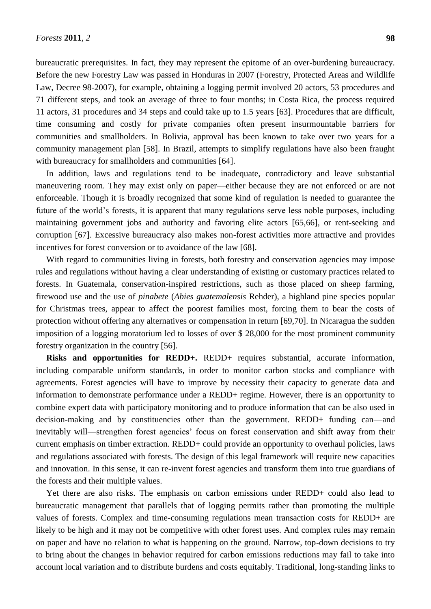bureaucratic prerequisites. In fact, they may represent the epitome of an over-burdening bureaucracy. Before the new Forestry Law was passed in Honduras in 2007 (Forestry, Protected Areas and Wildlife Law, Decree 98-2007), for example, obtaining a logging permit involved 20 actors, 53 procedures and 71 different steps, and took an average of three to four months; in Costa Rica, the process required 11 actors, 31 procedures and 34 steps and could take up to 1.5 years [63]. Procedures that are difficult, time consuming and costly for private companies often present insurmountable barriers for communities and smallholders. In Bolivia, approval has been known to take over two years for a community management plan [58]. In Brazil, attempts to simplify regulations have also been fraught with bureaucracy for smallholders and communities [64].

In addition, laws and regulations tend to be inadequate, contradictory and leave substantial maneuvering room. They may exist only on paper—either because they are not enforced or are not enforceable. Though it is broadly recognized that some kind of regulation is needed to guarantee the future of the world's forests, it is apparent that many regulations serve less noble purposes, including maintaining government jobs and authority and favoring elite actors [65,66], or rent-seeking and corruption [67]. Excessive bureaucracy also makes non-forest activities more attractive and provides incentives for forest conversion or to avoidance of the law [68].

With regard to communities living in forests, both forestry and conservation agencies may impose rules and regulations without having a clear understanding of existing or customary practices related to forests. In Guatemala, conservation-inspired restrictions, such as those placed on sheep farming, firewood use and the use of *pinabete* (*Abies guatemalensis* Rehder), a highland pine species popular for Christmas trees, appear to affect the poorest families most, forcing them to bear the costs of protection without offering any alternatives or compensation in return [69,70]. In Nicaragua the sudden imposition of a logging moratorium led to losses of over \$ 28,000 for the most prominent community forestry organization in the country [56].

**Risks and opportunities for REDD+.** REDD+ requires substantial, accurate information, including comparable uniform standards, in order to monitor carbon stocks and compliance with agreements. Forest agencies will have to improve by necessity their capacity to generate data and information to demonstrate performance under a REDD+ regime. However, there is an opportunity to combine expert data with participatory monitoring and to produce information that can be also used in decision-making and by constituencies other than the government. REDD+ funding can—and inevitably will—strengthen forest agencies' focus on forest conservation and shift away from their current emphasis on timber extraction. REDD+ could provide an opportunity to overhaul policies, laws and regulations associated with forests. The design of this legal framework will require new capacities and innovation. In this sense, it can re-invent forest agencies and transform them into true guardians of the forests and their multiple values.

Yet there are also risks. The emphasis on carbon emissions under REDD+ could also lead to bureaucratic management that parallels that of logging permits rather than promoting the multiple values of forests. Complex and time-consuming regulations mean transaction costs for REDD+ are likely to be high and it may not be competitive with other forest uses. And complex rules may remain on paper and have no relation to what is happening on the ground. Narrow, top-down decisions to try to bring about the changes in behavior required for carbon emissions reductions may fail to take into account local variation and to distribute burdens and costs equitably. Traditional, long-standing links to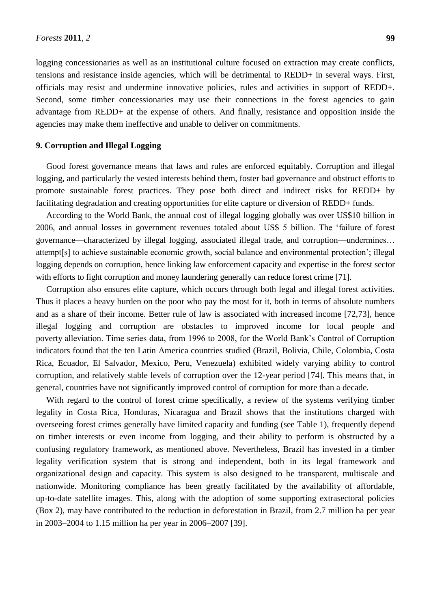logging concessionaries as well as an institutional culture focused on extraction may create conflicts, tensions and resistance inside agencies, which will be detrimental to REDD+ in several ways. First, officials may resist and undermine innovative policies, rules and activities in support of REDD+. Second, some timber concessionaries may use their connections in the forest agencies to gain advantage from REDD+ at the expense of others. And finally, resistance and opposition inside the agencies may make them ineffective and unable to deliver on commitments.

## **9. Corruption and Illegal Logging**

Good forest governance means that laws and rules are enforced equitably. Corruption and illegal logging, and particularly the vested interests behind them, foster bad governance and obstruct efforts to promote sustainable forest practices. They pose both direct and indirect risks for REDD+ by facilitating degradation and creating opportunities for elite capture or diversion of REDD+ funds.

According to the World Bank, the annual cost of illegal logging globally was over US\$10 billion in 2006, and annual losses in government revenues totaled about US\$ 5 billion. The 'failure of forest governance—characterized by illegal logging, associated illegal trade, and corruption—undermines… attempt[s] to achieve sustainable economic growth, social balance and environmental protection'; illegal logging depends on corruption, hence linking law enforcement capacity and expertise in the forest sector with efforts to fight corruption and money laundering generally can reduce forest crime [71].

Corruption also ensures elite capture, which occurs through both legal and illegal forest activities. Thus it places a heavy burden on the poor who pay the most for it, both in terms of absolute numbers and as a share of their income. Better rule of law is associated with increased income [72,73], hence illegal logging and corruption are obstacles to improved income for local people and poverty alleviation. Time series data, from 1996 to 2008, for the World Bank's Control of Corruption indicators found that the ten Latin America countries studied (Brazil, Bolivia, Chile, Colombia, Costa Rica, Ecuador, El Salvador, Mexico, Peru, Venezuela) exhibited widely varying ability to control corruption, and relatively stable levels of corruption over the 12-year period [74]. This means that, in general, countries have not significantly improved control of corruption for more than a decade.

With regard to the control of forest crime specifically, a review of the systems verifying timber legality in Costa Rica, Honduras, Nicaragua and Brazil shows that the institutions charged with overseeing forest crimes generally have limited capacity and funding (see Table 1), frequently depend on timber interests or even income from logging, and their ability to perform is obstructed by a confusing regulatory framework, as mentioned above. Nevertheless, Brazil has invested in a timber legality verification system that is strong and independent, both in its legal framework and organizational design and capacity. This system is also designed to be transparent, multiscale and nationwide. Monitoring compliance has been greatly facilitated by the availability of affordable, up-to-date satellite images. This, along with the adoption of some supporting extrasectoral policies (Box 2), may have contributed to the reduction in deforestation in Brazil, from 2.7 million ha per year in 2003–2004 to 1.15 million ha per year in 2006–2007 [39].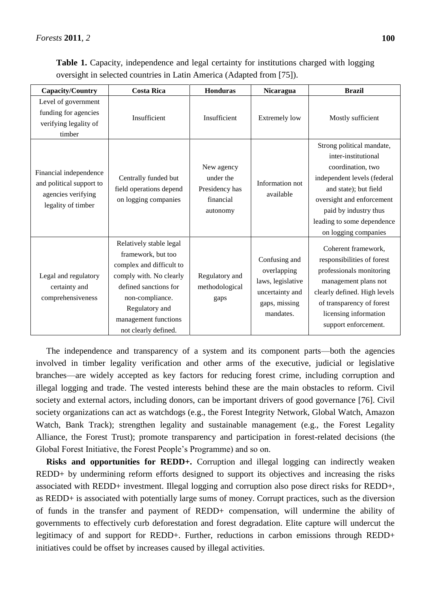|  | <b>Table 1.</b> Capacity, independence and legal certainty for institutions charged with logging |  |  |  |  |
|--|--------------------------------------------------------------------------------------------------|--|--|--|--|
|  | oversight in selected countries in Latin America (Adapted from [75]).                            |  |  |  |  |

| Capacity/Country                                                                               | <b>Costa Rica</b>                                                                                                                                                                                                  | Honduras                                                           | Nicaragua                                                                                          | <b>Brazil</b>                                                                                                                                                                                                                             |
|------------------------------------------------------------------------------------------------|--------------------------------------------------------------------------------------------------------------------------------------------------------------------------------------------------------------------|--------------------------------------------------------------------|----------------------------------------------------------------------------------------------------|-------------------------------------------------------------------------------------------------------------------------------------------------------------------------------------------------------------------------------------------|
| Level of government<br>funding for agencies<br>verifying legality of<br>timber                 | Insufficient                                                                                                                                                                                                       | Insufficient                                                       | <b>Extremely low</b>                                                                               | Mostly sufficient                                                                                                                                                                                                                         |
| Financial independence<br>and political support to<br>agencies verifying<br>legality of timber | Centrally funded but<br>field operations depend<br>on logging companies                                                                                                                                            | New agency<br>under the<br>Presidency has<br>financial<br>autonomy | Information not<br>available                                                                       | Strong political mandate,<br>inter-institutional<br>coordination, two<br>independent levels (federal<br>and state); but field<br>oversight and enforcement<br>paid by industry thus<br>leading to some dependence<br>on logging companies |
| Legal and regulatory<br>certainty and<br>comprehensiveness                                     | Relatively stable legal<br>framework, but too<br>complex and difficult to<br>comply with. No clearly<br>defined sanctions for<br>non-compliance.<br>Regulatory and<br>management functions<br>not clearly defined. | Regulatory and<br>methodological<br>gaps                           | Confusing and<br>overlapping<br>laws, legislative<br>uncertainty and<br>gaps, missing<br>mandates. | Coherent framework,<br>responsibilities of forest<br>professionals monitoring<br>management plans not<br>clearly defined. High levels<br>of transparency of forest<br>licensing information<br>support enforcement.                       |

The independence and transparency of a system and its component parts—both the agencies involved in timber legality verification and other arms of the executive, judicial or legislative branches—are widely accepted as key factors for reducing forest crime, including corruption and illegal logging and trade. The vested interests behind these are the main obstacles to reform. Civil society and external actors, including donors, can be important drivers of good governance [76]. Civil society organizations can act as watchdogs (e.g., the Forest Integrity Network, Global Watch, Amazon Watch, Bank Track); strengthen legality and sustainable management (e.g., the Forest Legality Alliance, the Forest Trust); promote transparency and participation in forest-related decisions (the Global Forest Initiative, the Forest People's Programme) and so on.

**Risks and opportunities for REDD+.** Corruption and illegal logging can indirectly weaken REDD+ by undermining reform efforts designed to support its objectives and increasing the risks associated with REDD+ investment. Illegal logging and corruption also pose direct risks for REDD+, as REDD+ is associated with potentially large sums of money. Corrupt practices, such as the diversion of funds in the transfer and payment of REDD+ compensation, will undermine the ability of governments to effectively curb deforestation and forest degradation. Elite capture will undercut the legitimacy of and support for REDD+. Further, reductions in carbon emissions through REDD+ initiatives could be offset by increases caused by illegal activities.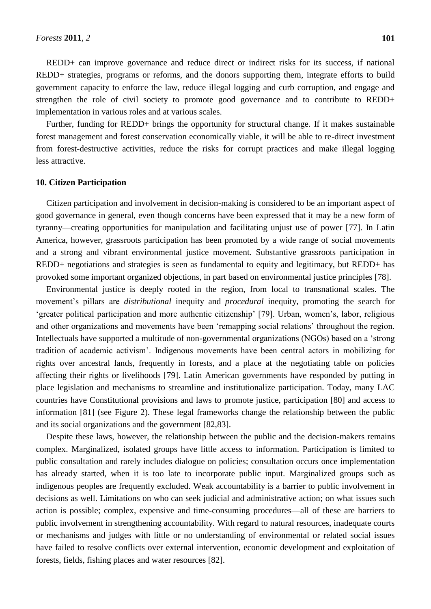REDD+ can improve governance and reduce direct or indirect risks for its success, if national REDD+ strategies, programs or reforms, and the donors supporting them, integrate efforts to build government capacity to enforce the law, reduce illegal logging and curb corruption, and engage and strengthen the role of civil society to promote good governance and to contribute to REDD+ implementation in various roles and at various scales.

Further, funding for REDD+ brings the opportunity for structural change. If it makes sustainable forest management and forest conservation economically viable, it will be able to re-direct investment from forest-destructive activities, reduce the risks for corrupt practices and make illegal logging less attractive.

#### **10. Citizen Participation**

Citizen participation and involvement in decision-making is considered to be an important aspect of good governance in general, even though concerns have been expressed that it may be a new form of tyranny—creating opportunities for manipulation and facilitating unjust use of power [77]. In Latin America, however, grassroots participation has been promoted by a wide range of social movements and a strong and vibrant environmental justice movement. Substantive grassroots participation in REDD+ negotiations and strategies is seen as fundamental to equity and legitimacy, but REDD+ has provoked some important organized objections, in part based on environmental justice principles [78].

Environmental justice is deeply rooted in the region, from local to transnational scales. The movement's pillars are *distributional* inequity and *procedural* inequity, promoting the search for 'greater political participation and more authentic citizenship' [79]. Urban, women's, labor, religious and other organizations and movements have been 'remapping social relations' throughout the region. Intellectuals have supported a multitude of non-governmental organizations (NGOs) based on a 'strong tradition of academic activism'. Indigenous movements have been central actors in mobilizing for rights over ancestral lands, frequently in forests, and a place at the negotiating table on policies affecting their rights or livelihoods [79]. Latin American governments have responded by putting in place legislation and mechanisms to streamline and institutionalize participation. Today, many LAC countries have Constitutional provisions and laws to promote justice, participation [80] and access to information [81] (see Figure 2). These legal frameworks change the relationship between the public and its social organizations and the government [82,83].

Despite these laws, however, the relationship between the public and the decision-makers remains complex. Marginalized, isolated groups have little access to information. Participation is limited to public consultation and rarely includes dialogue on policies; consultation occurs once implementation has already started, when it is too late to incorporate public input. Marginalized groups such as indigenous peoples are frequently excluded. Weak accountability is a barrier to public involvement in decisions as well. Limitations on who can seek judicial and administrative action; on what issues such action is possible; complex, expensive and time-consuming procedures—all of these are barriers to public involvement in strengthening accountability. With regard to natural resources, inadequate courts or mechanisms and judges with little or no understanding of environmental or related social issues have failed to resolve conflicts over external intervention, economic development and exploitation of forests, fields, fishing places and water resources [82].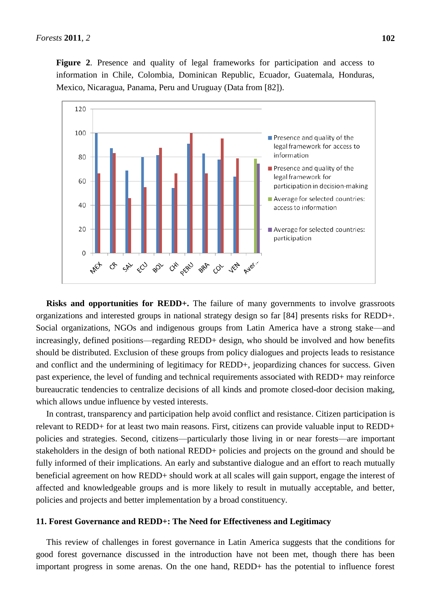**Figure 2**. Presence and quality of legal frameworks for participation and access to information in Chile, Colombia, Dominican Republic, Ecuador, Guatemala, Honduras, Mexico, Nicaragua, Panama, Peru and Uruguay (Data from [82]).



**Risks and opportunities for REDD+.** The failure of many governments to involve grassroots organizations and interested groups in national strategy design so far [84] presents risks for REDD+. Social organizations, NGOs and indigenous groups from Latin America have a strong stake—and increasingly, defined positions—regarding REDD+ design, who should be involved and how benefits should be distributed. Exclusion of these groups from policy dialogues and projects leads to resistance and conflict and the undermining of legitimacy for REDD+, jeopardizing chances for success. Given past experience, the level of funding and technical requirements associated with REDD+ may reinforce bureaucratic tendencies to centralize decisions of all kinds and promote closed-door decision making, which allows undue influence by vested interests.

In contrast, transparency and participation help avoid conflict and resistance. Citizen participation is relevant to REDD+ for at least two main reasons. First, citizens can provide valuable input to REDD+ policies and strategies. Second, citizens—particularly those living in or near forests—are important stakeholders in the design of both national REDD+ policies and projects on the ground and should be fully informed of their implications. An early and substantive dialogue and an effort to reach mutually beneficial agreement on how REDD+ should work at all scales will gain support, engage the interest of affected and knowledgeable groups and is more likely to result in mutually acceptable, and better, policies and projects and better implementation by a broad constituency.

#### **11. Forest Governance and REDD+: The Need for Effectiveness and Legitimacy**

This review of challenges in forest governance in Latin America suggests that the conditions for good forest governance discussed in the introduction have not been met, though there has been important progress in some arenas. On the one hand, REDD+ has the potential to influence forest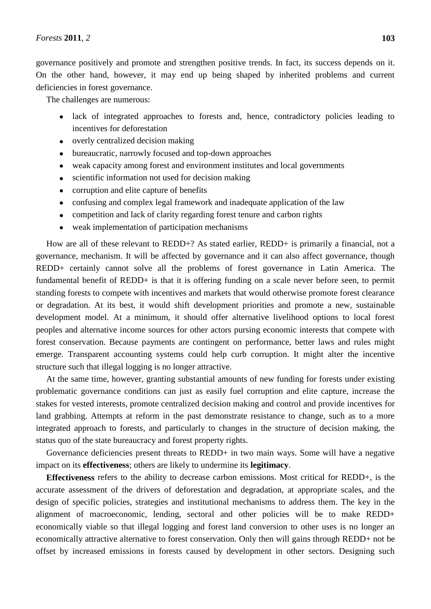governance positively and promote and strengthen positive trends. In fact, its success depends on it. On the other hand, however, it may end up being shaped by inherited problems and current deficiencies in forest governance.

The challenges are numerous:

- lack of integrated approaches to forests and, hence, contradictory policies leading to incentives for deforestation
- overly centralized decision making
- bureaucratic, narrowly focused and top-down approaches
- weak capacity among forest and environment institutes and local governments
- scientific information not used for decision making
- corruption and elite capture of benefits
- confusing and complex legal framework and inadequate application of the law
- competition and lack of clarity regarding forest tenure and carbon rights
- weak implementation of participation mechanisms

How are all of these relevant to REDD+? As stated earlier, REDD+ is primarily a financial, not a governance, mechanism. It will be affected by governance and it can also affect governance, though REDD+ certainly cannot solve all the problems of forest governance in Latin America. The fundamental benefit of REDD+ is that it is offering funding on a scale never before seen, to permit standing forests to compete with incentives and markets that would otherwise promote forest clearance or degradation. At its best, it would shift development priorities and promote a new, sustainable development model. At a minimum, it should offer alternative livelihood options to local forest peoples and alternative income sources for other actors pursing economic interests that compete with forest conservation. Because payments are contingent on performance, better laws and rules might emerge. Transparent accounting systems could help curb corruption. It might alter the incentive structure such that illegal logging is no longer attractive.

At the same time, however, granting substantial amounts of new funding for forests under existing problematic governance conditions can just as easily fuel corruption and elite capture, increase the stakes for vested interests, promote centralized decision making and control and provide incentives for land grabbing. Attempts at reform in the past demonstrate resistance to change, such as to a more integrated approach to forests, and particularly to changes in the structure of decision making, the status quo of the state bureaucracy and forest property rights.

Governance deficiencies present threats to REDD+ in two main ways. Some will have a negative impact on its **effectiveness**; others are likely to undermine its **legitimacy**.

**Effectiveness** refers to the ability to decrease carbon emissions. Most critical for REDD+, is the accurate assessment of the drivers of deforestation and degradation, at appropriate scales, and the design of specific policies, strategies and institutional mechanisms to address them. The key in the alignment of macroeconomic, lending, sectoral and other policies will be to make REDD+ economically viable so that illegal logging and forest land conversion to other uses is no longer an economically attractive alternative to forest conservation. Only then will gains through REDD+ not be offset by increased emissions in forests caused by development in other sectors. Designing such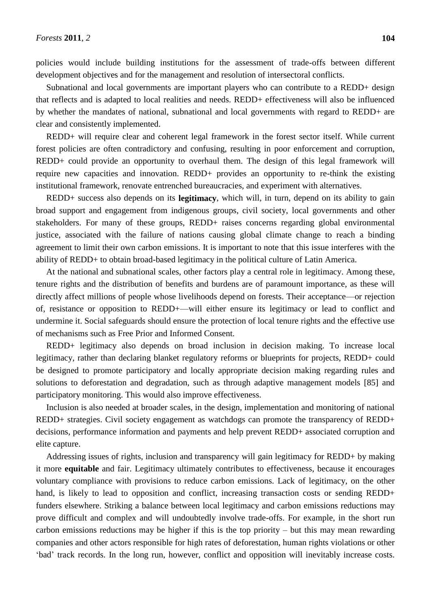policies would include building institutions for the assessment of trade-offs between different development objectives and for the management and resolution of intersectoral conflicts.

Subnational and local governments are important players who can contribute to a REDD+ design that reflects and is adapted to local realities and needs. REDD+ effectiveness will also be influenced by whether the mandates of national, subnational and local governments with regard to REDD+ are clear and consistently implemented.

REDD+ will require clear and coherent legal framework in the forest sector itself. While current forest policies are often contradictory and confusing, resulting in poor enforcement and corruption, REDD+ could provide an opportunity to overhaul them. The design of this legal framework will require new capacities and innovation. REDD+ provides an opportunity to re-think the existing institutional framework, renovate entrenched bureaucracies, and experiment with alternatives.

REDD+ success also depends on its **legitimacy**, which will, in turn, depend on its ability to gain broad support and engagement from indigenous groups, civil society, local governments and other stakeholders. For many of these groups, REDD+ raises concerns regarding global environmental justice, associated with the failure of nations causing global climate change to reach a binding agreement to limit their own carbon emissions. It is important to note that this issue interferes with the ability of REDD+ to obtain broad-based legitimacy in the political culture of Latin America.

At the national and subnational scales, other factors play a central role in legitimacy. Among these, tenure rights and the distribution of benefits and burdens are of paramount importance, as these will directly affect millions of people whose livelihoods depend on forests. Their acceptance—or rejection of, resistance or opposition to REDD+—will either ensure its legitimacy or lead to conflict and undermine it. Social safeguards should ensure the protection of local tenure rights and the effective use of mechanisms such as Free Prior and Informed Consent.

REDD+ legitimacy also depends on broad inclusion in decision making. To increase local legitimacy, rather than declaring blanket regulatory reforms or blueprints for projects, REDD+ could be designed to promote participatory and locally appropriate decision making regarding rules and solutions to deforestation and degradation, such as through adaptive management models [85] and participatory monitoring. This would also improve effectiveness.

Inclusion is also needed at broader scales, in the design, implementation and monitoring of national REDD+ strategies. Civil society engagement as watchdogs can promote the transparency of REDD+ decisions, performance information and payments and help prevent REDD+ associated corruption and elite capture.

Addressing issues of rights, inclusion and transparency will gain legitimacy for REDD+ by making it more **equitable** and fair. Legitimacy ultimately contributes to effectiveness, because it encourages voluntary compliance with provisions to reduce carbon emissions. Lack of legitimacy, on the other hand, is likely to lead to opposition and conflict, increasing transaction costs or sending REDD+ funders elsewhere. Striking a balance between local legitimacy and carbon emissions reductions may prove difficult and complex and will undoubtedly involve trade-offs. For example, in the short run carbon emissions reductions may be higher if this is the top priority – but this may mean rewarding companies and other actors responsible for high rates of deforestation, human rights violations or other 'bad' track records. In the long run, however, conflict and opposition will inevitably increase costs.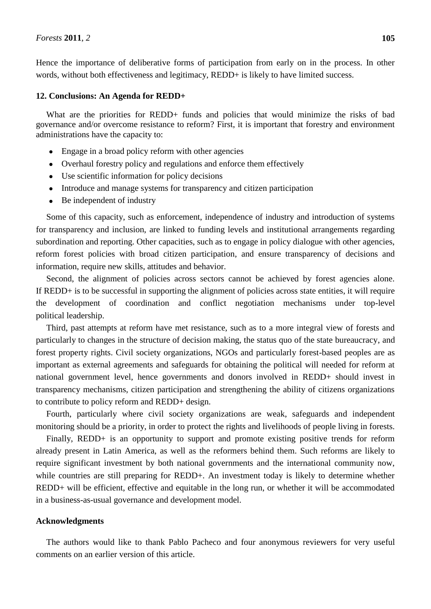Hence the importance of deliberative forms of participation from early on in the process. In other words, without both effectiveness and legitimacy, REDD+ is likely to have limited success.

#### **12. Conclusions: An Agenda for REDD+**

What are the priorities for REDD+ funds and policies that would minimize the risks of bad governance and/or overcome resistance to reform? First, it is important that forestry and environment administrations have the capacity to:

- Engage in a broad policy reform with other agencies
- Overhaul forestry policy and regulations and enforce them effectively
- Use scientific information for policy decisions
- Introduce and manage systems for transparency and citizen participation
- Be independent of industry

Some of this capacity, such as enforcement, independence of industry and introduction of systems for transparency and inclusion, are linked to funding levels and institutional arrangements regarding subordination and reporting. Other capacities, such as to engage in policy dialogue with other agencies, reform forest policies with broad citizen participation, and ensure transparency of decisions and information, require new skills, attitudes and behavior.

Second, the alignment of policies across sectors cannot be achieved by forest agencies alone. If REDD+ is to be successful in supporting the alignment of policies across state entities, it will require the development of coordination and conflict negotiation mechanisms under top-level political leadership.

Third, past attempts at reform have met resistance, such as to a more integral view of forests and particularly to changes in the structure of decision making, the status quo of the state bureaucracy, and forest property rights. Civil society organizations, NGOs and particularly forest-based peoples are as important as external agreements and safeguards for obtaining the political will needed for reform at national government level, hence governments and donors involved in REDD+ should invest in transparency mechanisms, citizen participation and strengthening the ability of citizens organizations to contribute to policy reform and REDD+ design.

Fourth, particularly where civil society organizations are weak, safeguards and independent monitoring should be a priority, in order to protect the rights and livelihoods of people living in forests.

Finally, REDD+ is an opportunity to support and promote existing positive trends for reform already present in Latin America, as well as the reformers behind them. Such reforms are likely to require significant investment by both national governments and the international community now, while countries are still preparing for REDD+. An investment today is likely to determine whether REDD+ will be efficient, effective and equitable in the long run, or whether it will be accommodated in a business-as-usual governance and development model.

#### **Acknowledgments**

The authors would like to thank Pablo Pacheco and four anonymous reviewers for very useful comments on an earlier version of this article.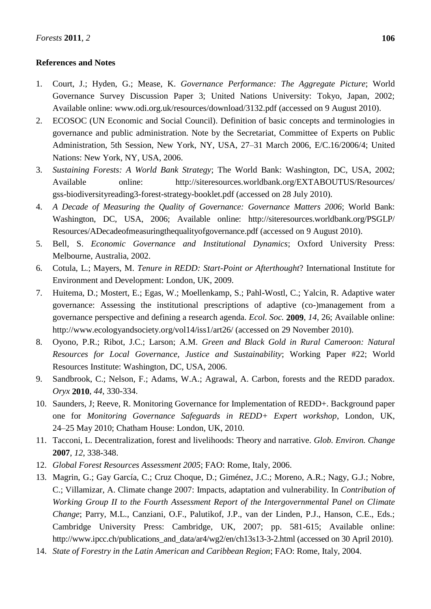# **References and Notes**

- 1. Court, J.; Hyden, G.; Mease, K. *Governance Performance: The Aggregate Picture*; World Governance Survey Discussion Paper 3; United Nations University: Tokyo, Japan, 2002; Available online: www.odi.org.uk/resources/download/3132.pdf (accessed on 9 August 2010).
- 2. ECOSOC (UN Economic and Social Council). Definition of basic concepts and terminologies in governance and public administration. Note by the Secretariat, Committee of Experts on Public Administration, 5th Session, New York, NY, USA, 27–31 March 2006, E/C.16/2006/4; United Nations: New York, NY, USA, 2006.
- 3. *Sustaining Forests: A World Bank Strategy*; The World Bank: Washington, DC, USA, 2002; Available online: http://siteresources.worldbank.org/EXTABOUTUS/Resources/ gss-biodiversityreading3-forest-strategy-booklet.pdf (accessed on 28 July 2010).
- 4. *A Decade of Measuring the Quality of Governance: Governance Matters 2006*; World Bank: Washington, DC, USA, 2006; Available online: http://siteresources.worldbank.org/PSGLP/ Resources/ADecadeofmeasuringthequalityofgovernance.pdf (accessed on 9 August 2010).
- 5. Bell, S. *Economic Governance and Institutional Dynamics*; Oxford University Press: Melbourne, Australia, 2002.
- 6. Cotula, L.; Mayers, M. *Tenure in REDD: Start-Point or Afterthought*? International Institute for Environment and Development: London, UK, 2009.
- 7. Huitema, D.; Mostert, E.; Egas, W.; Moellenkamp, S.; Pahl-Wostl, C.; Yalcin, R. Adaptive water governance: Assessing the institutional prescriptions of adaptive (co-)management from a governance perspective and defining a research agenda. *Ecol. Soc.* **2009**, *14*, 26; Available online: http://www.ecologyandsociety.org/vol14/iss1/art26/ (accessed on 29 November 2010).
- 8. Oyono, P.R.; Ribot, J.C.; Larson; A.M. *Green and Black Gold in Rural Cameroon: Natural Resources for Local Governance, Justice and Sustainability*; Working Paper #22; World Resources Institute: Washington, DC, USA, 2006.
- 9. Sandbrook, C.; Nelson, F.; Adams, W.A.; Agrawal, A. Carbon, forests and the REDD paradox. *Oryx* **2010**, *44*, 330-334.
- 10. Saunders, J; Reeve, R. Monitoring Governance for Implementation of REDD+. Background paper one for *Monitoring Governance Safeguards in REDD+ Expert workshop*, London, UK, 24–25 May 2010; Chatham House: London, UK, 2010.
- 11. Tacconi, L. Decentralization, forest and livelihoods: Theory and narrative. *Glob. Environ. Change* **2007**, *12*, 338-348.
- 12. *Global Forest Resources Assessment 2005*; FAO: Rome, Italy, 2006.
- 13. Magrin, G.; Gay Garc á, C.; Cruz Choque, D.; Gim énez, J.C.; Moreno, A.R.; Nagy, G.J.; Nobre, C.; Villamizar, A. Climate change 2007: Impacts, adaptation and vulnerability. In *Contribution of Working Group II to the Fourth Assessment Report of the Intergovernmental Panel on Climate Change*; Parry, M.L., Canziani, O.F., Palutikof, J.P., van der Linden, P.J., Hanson, C.E., Eds.; Cambridge University Press: Cambridge, UK, 2007; pp. 581-615; Available online: http://www.ipcc.ch/publications\_and\_data/ar4/wg2/en/ch13s13-3-2.html (accessed on 30 April 2010).
- 14. *State of Forestry in the Latin American and Caribbean Region*; FAO: Rome, Italy, 2004.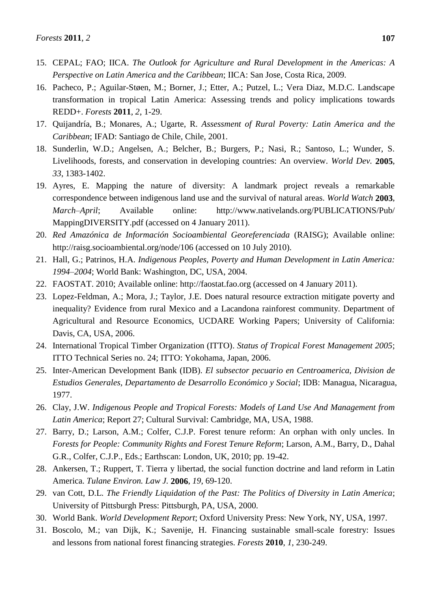- 15. CEPAL; FAO; IICA. *The Outlook for Agriculture and Rural Development in the Americas: A Perspective on Latin America and the Caribbean*; IICA: San Jose, Costa Rica, 2009.
- 16. Pacheco, P.; Aguilar-Støen, M.; Borner, J.; Etter, A.; Putzel, L.; Vera Diaz, M.D.C. Landscape transformation in tropical Latin America: Assessing trends and policy implications towards REDD+. *Forests* **2011**, *2*, 1-29.
- 17. Quijandría, B.; Monares, A.; Ugarte, R. *Assessment of Rural Poverty: Latin America and the Caribbean*; IFAD: Santiago de Chile, Chile, 2001.
- 18. Sunderlin, W.D.; Angelsen, A.; Belcher, B.; Burgers, P.; Nasi, R.; Santoso, L.; Wunder, S. Livelihoods, forests, and conservation in developing countries: An overview. *World Dev.* **2005**, *33*, 1383-1402.
- 19. Ayres, E. Mapping the nature of diversity: A landmark project reveals a remarkable correspondence between indigenous land use and the survival of natural areas. *World Watch* **2003**, *March–April*; Available online: http://www.nativelands.org/PUBLICATIONS/Pub/ MappingDIVERSITY.pdf (accessed on 4 January 2011).
- 20. *Red Amazónica de Información Socioambiental Georeferenciada* (RAISG); Available online: http://raisg.socioambiental.org/node/106 (accessed on 10 July 2010).
- 21. Hall, G.; Patrinos, H.A. *Indigenous Peoples, Poverty and Human Development in Latin America: 1994–2004*; World Bank: Washington, DC, USA, 2004.
- 22. FAOSTAT. 2010; Available online: http://faostat.fao.org (accessed on 4 January 2011).
- 23. Lopez-Feldman, A.; Mora, J.; Taylor, J.E. Does natural resource extraction mitigate poverty and inequality? Evidence from rural Mexico and a Lacandona rainforest community. Department of Agricultural and Resource Economics, UCDARE Working Papers; University of California: Davis, CA, USA, 2006.
- 24. International Tropical Timber Organization (ITTO). *Status of Tropical Forest Management 2005*; ITTO Technical Series no. 24; ITTO: Yokohama, Japan, 2006.
- 25. Inter-American Development Bank (IDB). *El subsector pecuario en Centroamerica, Division de Estudios Generales, Departamento de Desarrollo Económico y Social*; IDB: Managua, Nicaragua, 1977.
- 26. Clay, J.W. *Indigenous People and Tropical Forests: Models of Land Use And Management from Latin America*; Report 27; Cultural Survival: Cambridge, MA, USA, 1988.
- 27. Barry, D.; Larson, A.M.; Colfer, C.J.P. Forest tenure reform: An orphan with only uncles. In *Forests for People: Community Rights and Forest Tenure Reform*; Larson, A.M., Barry, D., Dahal G.R., Colfer, C.J.P., Eds.; Earthscan: London, UK, 2010; pp. 19-42.
- 28. Ankersen, T.; Ruppert, T. Tierra y libertad, the social function doctrine and land reform in Latin America. *Tulane Environ. Law J.* **2006**, *19*, 69-120.
- 29. van Cott, D.L. *The Friendly Liquidation of the Past: The Politics of Diversity in Latin America*; University of Pittsburgh Press: Pittsburgh, PA, USA, 2000.
- 30. World Bank. *World Development Report*; Oxford University Press: New York, NY, USA, 1997.
- 31. Boscolo, M.; van Dijk, K.; Savenije, H. Financing sustainable small-scale forestry: Issues and lessons from national forest financing strategies. *Forests* **2010**, *1*, 230-249.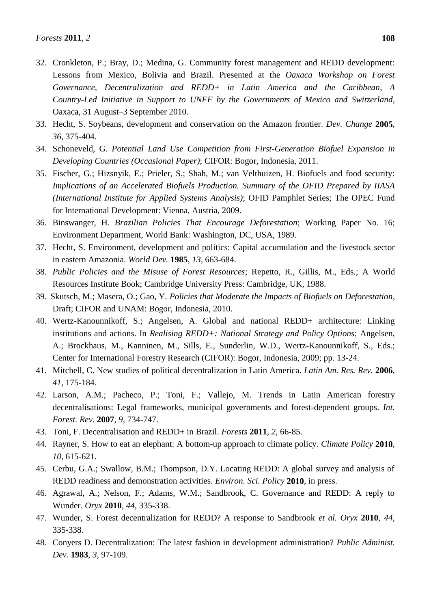- 32. Cronkleton, P.; Bray, D.; Medina, G. Community forest management and REDD development: Lessons from Mexico, Bolivia and Brazil. Presented at the *Oaxaca Workshop on Forest Governance, Decentralization and REDD+ in Latin America and the Caribbean*, *A Country-Led Initiative in Support to UNFF by the Governments of Mexico and Switzerland*, Oaxaca, 31 August–3 September 2010.
- 33. Hecht, S. Soybeans, development and conservation on the Amazon frontier. *Dev. Change* **2005**, *36*, 375-404.
- 34. Schoneveld, G. *Potential Land Use Competition from First-Generation Biofuel Expansion in Developing Countries (Occasional Paper)*; CIFOR: Bogor, Indonesia, 2011.
- 35. Fischer, G.; Hizsnyik, E.; Prieler, S.; Shah, M.; van Velthuizen, H. Biofuels and food security: *Implications of an Accelerated Biofuels Production. Summary of the OFID Prepared by IIASA (International Institute for Applied Systems Analysis)*; OFID Pamphlet Series; The OPEC Fund for International Development: Vienna, Austria, 2009.
- 36. Binswanger, H. *Brazilian Policies That Encourage Deforestation*; Working Paper No. 16; Environment Department, World Bank: Washington, DC, USA, 1989.
- 37. Hecht, S. Environment, development and politics: Capital accumulation and the livestock sector in eastern Amazonia. *World Dev.* **1985**, *13*, 663-684.
- 38. *Public Policies and the Misuse of Forest Resources*; Repetto, R., Gillis, M., Eds.; A World Resources Institute Book; Cambridge University Press: Cambridge, UK, 1988.
- 39. Skutsch, M.; Masera, O.; Gao, Y. *Policies that Moderate the Impacts of Biofuels on Deforestation*, Draft; CIFOR and UNAM: Bogor, Indonesia, 2010.
- 40. Wertz-Kanounnikoff, S.; Angelsen, A. Global and national REDD+ architecture: Linking institutions and actions. In *Realising REDD+: National Strategy and Policy Options*; Angelsen, A.; Brockhaus, M., Kanninen, M., Sills, E., Sunderlin, W.D., Wertz-Kanounnikoff, S., Eds.; Center for International Forestry Research (CIFOR): Bogor, Indonesia, 2009; pp. 13-24.
- 41. Mitchell, C. New studies of political decentralization in Latin America. *Latin Am. Res. Rev.* **2006**, *41*, 175-184.
- 42. Larson, A.M.; Pacheco, P.; Toni, F.; Vallejo, M. Trends in Latin American forestry decentralisations: Legal frameworks, municipal governments and forest-dependent groups. *Int. Forest. Rev.* **2007**, *9*, 734-747.
- 43. Toni, F. Decentralisation and REDD+ in Brazil. *Forests* **2011**, *2*, 66-85.
- 44. Rayner, S. How to eat an elephant: A bottom-up approach to climate policy. *Climate Policy* **2010**, *10*, 615-621.
- 45. Cerbu, G.A.; Swallow, B.M.; Thompson, D.Y. Locating REDD: A global survey and analysis of REDD readiness and demonstration activities. *Environ. Sci. Policy* **2010**, in press.
- 46. Agrawal, A.; Nelson, F.; Adams, W.M.; Sandbrook, C. Governance and REDD: A reply to Wunder. *Oryx* **2010**, *44*, 335-338.
- 47. Wunder, S. Forest decentralization for REDD? A response to Sandbrook *et al. Oryx* **2010**, *44*, 335-338.
- 48. Conyers D. Decentralization: The latest fashion in development administration? *Public Administ. Dev.* **1983**, *3*, 97-109.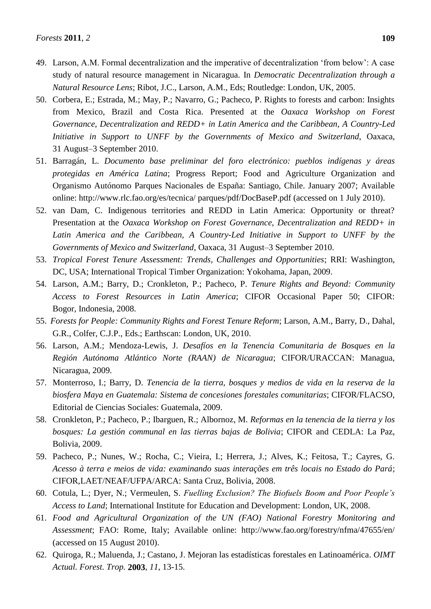- 49. Larson, A.M. Formal decentralization and the imperative of decentralization 'from below': A case study of natural resource management in Nicaragua. In *Democratic Decentralization through a Natural Resource Lens*; Ribot, J.C., Larson, A.M., Eds; Routledge: London, UK, 2005.
- 50. Corbera, E.; Estrada, M.; May, P.; Navarro, G.; Pacheco, P. Rights to forests and carbon: Insights from Mexico, Brazil and Costa Rica. Presented at the *Oaxaca Workshop on Forest Governance, Decentralization and REDD+ in Latin America and the Caribbean, A Country-Led Initiative in Support to UNFF by the Governments of Mexico and Switzerland*, Oaxaca, 31 August–3 September 2010.
- 51. Barragán, L. *Documento base preliminar del foro electrónico: pueblos indígenas y áreas protegidas en América Latina*; Progress Report; Food and Agriculture Organization and Organismo Autónomo Parques Nacionales de España: Santiago, Chile. January 2007; Available online: http://www.rlc.fao.org/es/tecnica/ parques/pdf/DocBaseP.pdf (accessed on 1 July 2010).
- 52. van Dam, C. Indigenous territories and REDD in Latin America: Opportunity or threat? Presentation at the *Oaxaca Workshop on Forest Governance, Decentralization and REDD+ in*  Latin America and the Caribbean, A Country-Led Initiative in Support to UNFF by the *Governments of Mexico and Switzerland*, Oaxaca, 31 August–3 September 2010.
- 53. *Tropical Forest Tenure Assessment: Trends, Challenges and Opportunities*; RRI: Washington, DC, USA; International Tropical Timber Organization: Yokohama, Japan, 2009.
- 54. Larson, A.M.; Barry, D.; Cronkleton, P.; Pacheco, P. *Tenure Rights and Beyond: Community Access to Forest Resources in Latin America*; CIFOR Occasional Paper 50; CIFOR: Bogor, Indonesia, 2008.
- 55. *Forests for People: Community Rights and Forest Tenure Reform*; Larson, A.M., Barry, D., Dahal, G.R., Colfer, C.J.P., Eds.; Earthscan: London, UK, 2010.
- 56. Larson, A.M.; Mendoza-Lewis, J. *Desafíos en la Tenencia Comunitaria de Bosques en la Región Autónoma Atlántico Norte (RAAN) de Nicaragua*; CIFOR/URACCAN: Managua, Nicaragua, 2009.
- 57. Monterroso, I.; Barry, D. *Tenencia de la tierra, bosques y medios de vida en la reserva de la biosfera Maya en Guatemala: Sistema de concesiones forestales comunitarias*; CIFOR/FLACSO, Editorial de Ciencias Sociales: Guatemala, 2009.
- 58. Cronkleton, P.; Pacheco, P.; Ibarguen, R.; Albornoz, M. *Reformas en la tenencia de la tierra y los bosques: La gestión communal en las tierras bajas de Bolivia*; CIFOR and CEDLA: La Paz, Bolivia, 2009.
- 59. Pacheco, P.; Nunes, W.; Rocha, C.; Vieira, I.; Herrera, J.; Alves, K.; Feitosa, T.; Cayres, G. *Acesso à terra e meios de vida: examinando suas interações em três locais no Estado do Pará*; CIFOR,LAET/NEAF/UFPA/ARCA: Santa Cruz, Bolivia, 2008.
- 60. Cotula, L.; Dyer, N.; Vermeulen, S. *Fuelling Exclusion? The Biofuels Boom and Poor People's Access to Land*; International Institute for Education and Development: London, UK, 2008.
- 61. *Food and Agricultural Organization of the UN (FAO) National Forestry Monitoring and Assessment*; FAO: Rome, Italy; Available online: http://www.fao.org/forestry/nfma/47655/en/ (accessed on 15 August 2010).
- 62. Quiroga, R.; Maluenda, J.; Castano, J. Mejoran las estadísticas forestales en Latinoamérica. *OIMT Actual. Forest. Trop.* **2003**, *11*, 13-15.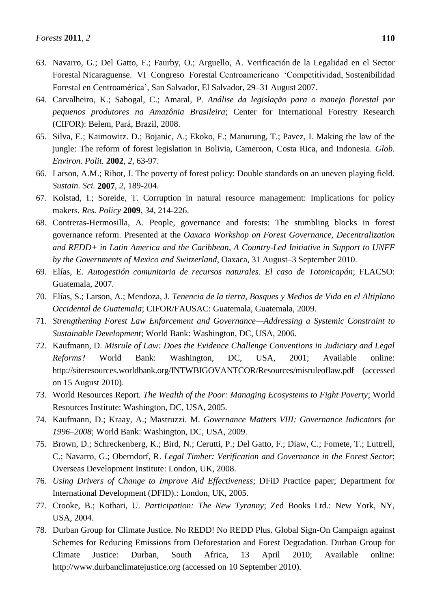- 63. Navarro, G.; Del Gatto, F.; Faurby, O.; Arguello, A. Verificación de la Legalidad en el Sector Forestal Nicaraguense. VI Congreso Forestal Centroamericano 'Competitividad, Sostenibilidad Forestal en Centroamérica', San Salvador, El Salvador, 29–31 August 2007.
- 64. Carvalheiro, K.; Sabogal, C.; Amaral, P. *Análise da legislação para o manejo florestal por pequenos produtores na Amazônia Brasileira*; Center for International Forestry Research (CIFOR): Belem, Pará, Brazil, 2008.
- 65. Silva, E.; Kaimowitz. D.; Bojanic, A.; Ekoko, F.; Manurung, T.; Pavez, I. Making the law of the jungle: The reform of forest legislation in Bolivia, Cameroon, Costa Rica, and Indonesia. *Glob. Environ. Polit.* **2002**, *2*, 63-97.
- 66. Larson, A.M.; Ribot, J. The poverty of forest policy: Double standards on an uneven playing field. *Sustain. Sci.* **2007**, *2*, 189-204.
- 67. Kolstad, I.; Soreide, T. Corruption in natural resource management: Implications for policy makers. *Res. Policy* **2009**, *34*, 214-226.
- 68. Contreras-Hermosilla, A. People, governance and forests: The stumbling blocks in forest governance reform. Presented at the *Oaxaca Workshop on Forest Governance, Decentralization and REDD+ in Latin America and the Caribbean, A Country-Led Initiative in Support to UNFF by the Governments of Mexico and Switzerland*, Oaxaca, 31 August–3 September 2010.
- 69. Elías, E. *Autogestión comunitaria de recursos naturales. El caso de Totonicapán*; FLACSO: Guatemala, 2007.
- 70. Elías, S.; Larson, A.; Mendoza, J. *Tenencia de la tierra, Bosques y Medios de Vida en el Altiplano Occidental de Guatemala*; CIFOR/FAUSAC: Guatemala, Guatemala, 2009.
- 71. *Strengthening Forest Law Enforcement and Governance—Addressing a Systemic Constraint to Sustainable Development*; World Bank: Washington, DC, USA, 2006.
- 72. Kaufmann, D. *Misrule of Law: Does the Evidence Challenge Conventions in Judiciary and Legal Reforms*? World Bank: Washington, DC, USA, 2001; Available online: http://siteresources.worldbank.org/INTWBIGOVANTCOR/Resources/misruleoflaw.pdf (accessed on 15 August 2010).
- 73. World Resources Report. *The Wealth of the Poor: Managing Ecosystems to Fight Poverty*; World Resources Institute: Washington, DC, USA, 2005.
- 74. Kaufmann, D.; Kraay, A.; Mastruzzi. M. *Governance Matters VIII: Governance Indicators for 1996–2008*; World Bank: Washington, DC, USA, 2009.
- 75. Brown, D.; Schreckenberg, K.; Bird, N.; Cerutti, P.; Del Gatto, F.; Diaw, C.; Fomete, T.; Luttrell, C.; Navarro, G.; Oberndorf, R. *Legal Timber: Verification and Governance in the Forest Sector*; Overseas Development Institute: London, UK, 2008.
- 76. *Using Drivers of Change to Improve Aid Effectiveness*; DFiD Practice paper; Department for International Development (DFID).: London, UK, 2005.
- 77. Crooke, B.; Kothari, U. *Participation: The New Tyranny*; Zed Books Ltd.: New York, NY, USA, 2004.
- 78. Durban Group for Climate Justice. No REDD! No REDD Plus. Global Sign-On Campaign against Schemes for Reducing Emissions from Deforestation and Forest Degradation. Durban Group for Climate Justice: Durban, South Africa, 13 April 2010; Available online: http://www.durbanclimatejustice.org (accessed on 10 September 2010).